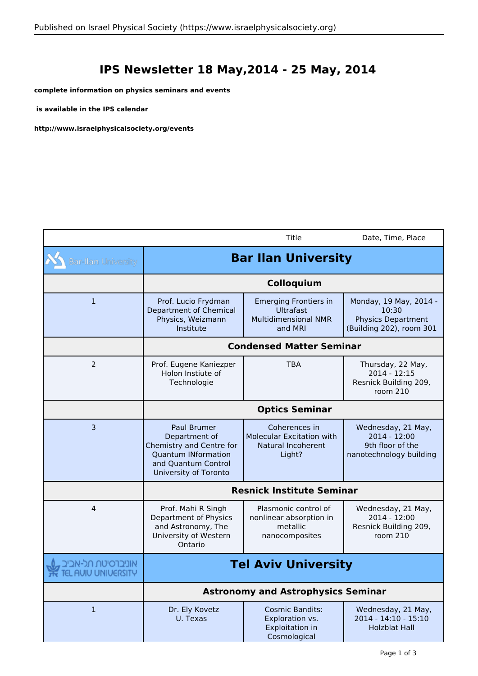## **IPS Newsletter 18 May,2014 - 25 May, 2014**

**complete information on physics seminars and events**

 **is available in the IPS calendar**

 $\sim$ 

**http://www.israelphysicalsociety.org/events**

|                                           |                                                                                                                                               | Title                                                                                      | Date, Time, Place                                                                        |
|-------------------------------------------|-----------------------------------------------------------------------------------------------------------------------------------------------|--------------------------------------------------------------------------------------------|------------------------------------------------------------------------------------------|
| <b>Bar-Ilan University</b>                | <b>Bar Ilan University</b>                                                                                                                    |                                                                                            |                                                                                          |
|                                           | Colloquium                                                                                                                                    |                                                                                            |                                                                                          |
| $\mathbf{1}$                              | Prof. Lucio Frydman<br>Department of Chemical<br>Physics, Weizmann<br>Institute                                                               | <b>Emerging Frontiers in</b><br><b>Ultrafast</b><br><b>Multidimensional NMR</b><br>and MRI | Monday, 19 May, 2014 -<br>10:30<br><b>Physics Department</b><br>(Building 202), room 301 |
|                                           | <b>Condensed Matter Seminar</b>                                                                                                               |                                                                                            |                                                                                          |
| 2                                         | Prof. Eugene Kaniezper<br>Holon Instiute of<br>Technologie                                                                                    | <b>TBA</b>                                                                                 | Thursday, 22 May,<br>$2014 - 12:15$<br>Resnick Building 209,<br>room 210                 |
|                                           | <b>Optics Seminar</b>                                                                                                                         |                                                                                            |                                                                                          |
| $\overline{3}$                            | <b>Paul Brumer</b><br>Department of<br>Chemistry and Centre for<br><b>Quantum INformation</b><br>and Quantum Control<br>University of Toronto | Coherences in<br><b>Molecular Excitation with</b><br>Natural Incoherent<br>Light?          | Wednesday, 21 May,<br>$2014 - 12:00$<br>9th floor of the<br>nanotechnology building      |
|                                           | <b>Resnick Institute Seminar</b>                                                                                                              |                                                                                            |                                                                                          |
| 4                                         | Prof. Mahi R Singh<br>Department of Physics<br>and Astronomy, The<br>University of Western<br>Ontario                                         | Plasmonic control of<br>nonlinear absorption in<br>metallic<br>nanocomposites              | Wednesday, 21 May,<br>2014 - 12:00<br>Resnick Building 209,<br>room 210                  |
| אוניברסיטת תל-אביב<br>TEL AUIU UNIUERSITY | <b>Tel Aviv University</b>                                                                                                                    |                                                                                            |                                                                                          |
|                                           | <b>Astronomy and Astrophysics Seminar</b>                                                                                                     |                                                                                            |                                                                                          |
| $\mathbf{1}$                              | Dr. Ely Kovetz<br>U. Texas                                                                                                                    | <b>Cosmic Bandits:</b><br>Exploration vs.<br>Exploitation in<br>Cosmological               | Wednesday, 21 May,<br>2014 - 14:10 - 15:10<br><b>Holzblat Hall</b>                       |
|                                           |                                                                                                                                               |                                                                                            | Page 1 of 3                                                                              |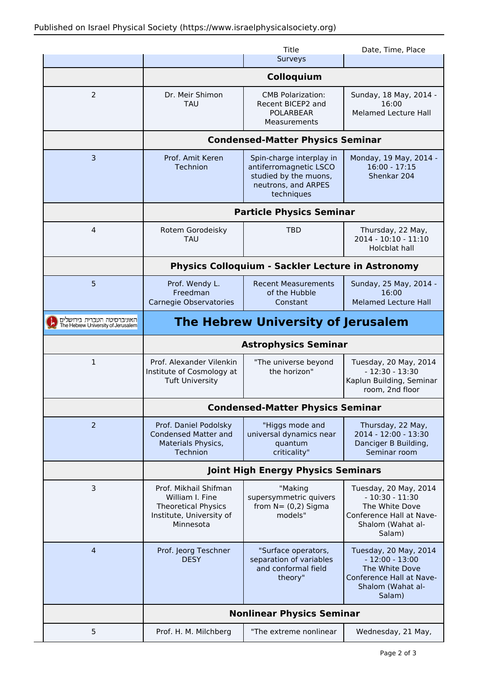|                                                                   |                                                                                                                 | Title                                                                                                            | Date, Time, Place                                                                                                      |  |
|-------------------------------------------------------------------|-----------------------------------------------------------------------------------------------------------------|------------------------------------------------------------------------------------------------------------------|------------------------------------------------------------------------------------------------------------------------|--|
|                                                                   |                                                                                                                 | Surveys                                                                                                          |                                                                                                                        |  |
|                                                                   |                                                                                                                 | Colloquium                                                                                                       |                                                                                                                        |  |
| 2                                                                 | Dr. Meir Shimon<br>TAU                                                                                          | <b>CMB Polarization:</b><br>Recent BICEP2 and<br><b>POLARBEAR</b><br>Measurements                                | Sunday, 18 May, 2014 -<br>16:00<br><b>Melamed Lecture Hall</b>                                                         |  |
|                                                                   | <b>Condensed-Matter Physics Seminar</b>                                                                         |                                                                                                                  |                                                                                                                        |  |
| $\overline{3}$                                                    | Prof. Amit Keren<br>Technion                                                                                    | Spin-charge interplay in<br>antiferromagnetic LSCO<br>studied by the muons,<br>neutrons, and ARPES<br>techniques | Monday, 19 May, 2014 -<br>$16:00 - 17:15$<br>Shenkar 204                                                               |  |
|                                                                   | <b>Particle Physics Seminar</b>                                                                                 |                                                                                                                  |                                                                                                                        |  |
| 4                                                                 | Rotem Gorodeisky<br><b>TAU</b>                                                                                  | <b>TBD</b>                                                                                                       | Thursday, 22 May,<br>2014 - 10:10 - 11:10<br>Holcblat hall                                                             |  |
|                                                                   | <b>Physics Colloquium - Sackler Lecture in Astronomy</b>                                                        |                                                                                                                  |                                                                                                                        |  |
| 5                                                                 | Prof. Wendy L.<br>Freedman<br>Carnegie Observatories                                                            | <b>Recent Measurements</b><br>of the Hubble<br>Constant                                                          | Sunday, 25 May, 2014 -<br>16:00<br><b>Melamed Lecture Hall</b>                                                         |  |
| האוניברסיטה העברית בירושלים<br>The Hebrew University of Jerusalem | The Hebrew University of Jerusalem                                                                              |                                                                                                                  |                                                                                                                        |  |
|                                                                   | <b>Astrophysics Seminar</b>                                                                                     |                                                                                                                  |                                                                                                                        |  |
| $\mathbf{1}$                                                      | Prof. Alexander Vilenkin<br>Institute of Cosmology at<br><b>Tuft University</b>                                 | "The universe beyond<br>the horizon"                                                                             | Tuesday, 20 May, 2014<br>$-12:30 - 13:30$<br>Kaplun Building, Seminar<br>room, 2nd floor                               |  |
|                                                                   | <b>Condensed-Matter Physics Seminar</b>                                                                         |                                                                                                                  |                                                                                                                        |  |
| 2                                                                 | Prof. Daniel Podolsky<br><b>Condensed Matter and</b><br>Materials Physics,<br>Technion                          | "Higgs mode and<br>universal dynamics near<br>quantum<br>criticality"                                            | Thursday, 22 May,<br>2014 - 12:00 - 13:30<br>Danciger B Building,<br>Seminar room                                      |  |
|                                                                   | <b>Joint High Energy Physics Seminars</b>                                                                       |                                                                                                                  |                                                                                                                        |  |
| 3                                                                 | Prof. Mikhail Shifman<br>William I. Fine<br><b>Theoretical Physics</b><br>Institute, University of<br>Minnesota | "Making<br>supersymmetric quivers<br>from $N = (0,2)$ Sigma<br>models"                                           | Tuesday, 20 May, 2014<br>$-10:30 - 11:30$<br>The White Dove<br>Conference Hall at Nave-<br>Shalom (Wahat al-<br>Salam) |  |
| $\overline{4}$                                                    | Prof. Jeorg Teschner<br><b>DESY</b>                                                                             | "Surface operators,<br>separation of variables<br>and conformal field<br>theory"                                 | Tuesday, 20 May, 2014<br>$-12:00 - 13:00$<br>The White Dove<br>Conference Hall at Nave-<br>Shalom (Wahat al-<br>Salam) |  |
|                                                                   | <b>Nonlinear Physics Seminar</b>                                                                                |                                                                                                                  |                                                                                                                        |  |
| 5                                                                 | Prof. H. M. Milchberg                                                                                           | "The extreme nonlinear                                                                                           | Wednesday, 21 May,                                                                                                     |  |